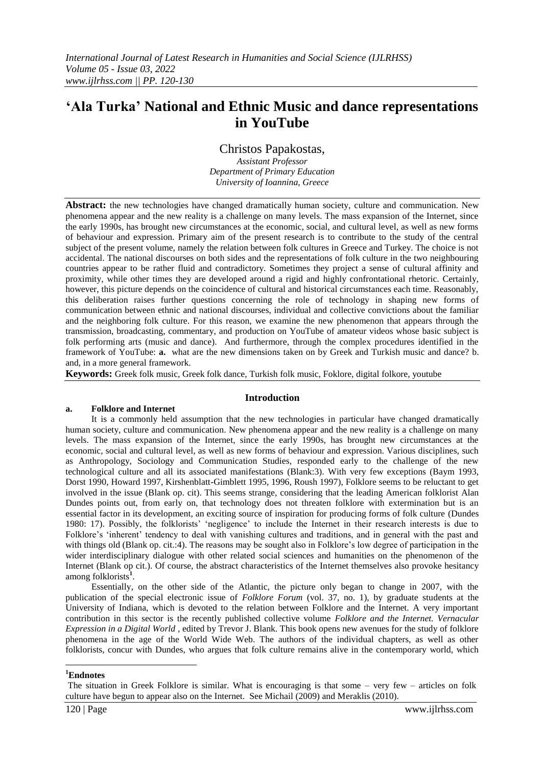# **'Ala Turka' National and Ethnic Music and dance representations in YouTube**

Christos Papakostas,

*Assistant Professor Department of Primary Education University of Ioannina, Greece*

**Abstract:** the new technologies have changed dramatically human society, culture and communication. New phenomena appear and the new reality is a challenge on many levels. The mass expansion of the Internet, since the early 1990s, has brought new circumstances at the economic, social, and cultural level, as well as new forms of behaviour and expression. Primary aim of the present research is to contribute to the study of the central subject of the present volume, namely the relation between folk cultures in Greece and Turkey. The choice is not accidental. The national discourses on both sides and the representations of folk culture in the two neighbouring countries appear to be rather fluid and contradictory. Sometimes they project a sense of cultural affinity and proximity, while other times they are developed around a rigid and highly confrontational rhetoric. Certainly, however, this picture depends on the coincidence of cultural and historical circumstances each time. Reasonably, this deliberation raises further questions concerning the role of technology in shaping new forms of communication between ethnic and national discourses, individual and collective convictions about the familiar and the neighboring folk culture. For this reason, we examine the new phenomenon that appears through the transmission, broadcasting, commentary, and production on YouTube of amateur videos whose basic subject is folk performing arts (music and dance). And furthermore, through the complex procedures identified in the framework of YouTube: **a.** what are the new dimensions taken on by Greek and Turkish music and dance? b. and, in a more general framework.

**Keywords:** Greek folk music, Greek folk dance, Turkish folk music, Foklore, digital folkore, youtube

#### **Introduction**

#### **a. Folklore and Internet**

It is a commonly held assumption that the new technologies in particular have changed dramatically human society, culture and communication. New phenomena appear and the new reality is a challenge on many levels. The mass expansion of the Internet, since the early 1990s, has brought new circumstances at the economic, social and cultural level, as well as new forms of behaviour and expression. Various disciplines, such as Anthropology, Sociology and Communication Studies, responded early to the challenge of the new technological culture and all its associated manifestations (Blank:3). With very few exceptions (Baym 1993, Dorst 1990, Howard 1997, Kirshenblatt-Gimblett 1995, 1996, Roush 1997), Folklore seems to be reluctant to get involved in the issue (Blank op. cit). This seems strange, considering that the leading American folklorist Alan Dundes points out, from early on, that technology does not threaten folklore with extermination but is an essential factor in its development, an exciting source of inspiration for producing forms of folk culture (Dundes 1980: 17). Possibly, the folklorists' 'negligence' to include the Internet in their research interests is due to Folklore's ‗inherent' tendency to deal with vanishing cultures and traditions, and in general with the past and with things old (Blank op. cit.:4). The reasons may be sought also in Folklore's low degree of participation in the wider interdisciplinary dialogue with other related social sciences and humanities on the phenomenon of the Internet (Blank op cit.). Of course, the abstract characteristics of the Internet themselves also provoke hesitancy among folklorists**<sup>1</sup>** .

Essentially, on the other side of the Atlantic, the picture only began to change in 2007, with the publication of the special electronic issue of *Folklore Forum* (vol. 37, no. 1), by graduate students at the University of Indiana, which is devoted to the relation between Folklore and the Internet. A very important contribution in this sector is the recently published collective volume *Folklore and the Internet. Vernacular Expression in a Digital World* , edited by Trevor J. Blank. This book opens new avenues for the study of folklore phenomena in the age of the World Wide Web. The authors of the individual chapters, as well as other folklorists, concur with Dundes, who argues that folk culture remains alive in the contemporary world, which

1 **<sup>1</sup>Endnotes**

The situation in Greek Folklore is similar. What is encouraging is that some – very few – articles on folk culture have begun to appear also on the Internet. See Michail (2009) and Meraklis (2010).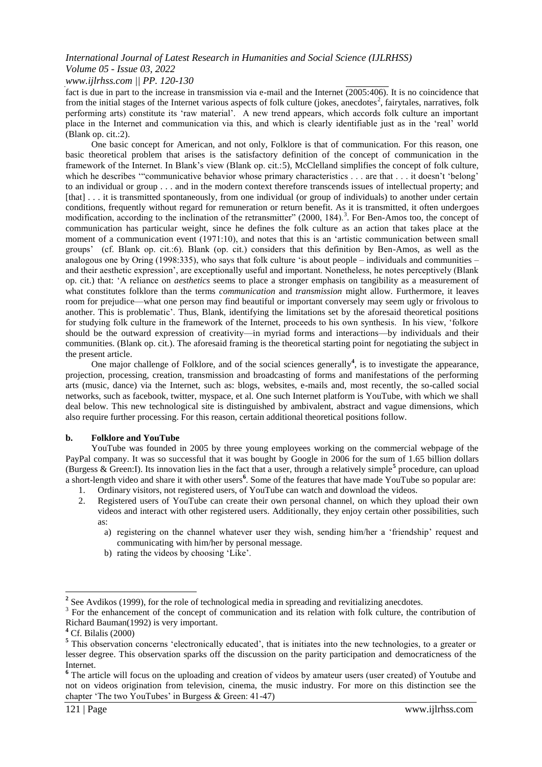#### *www.ijlrhss.com || PP. 120-130*

fact is due in part to the increase in transmission via e-mail and the Internet (2005:406). It is no coincidence that from the initial stages of the Internet various aspects of folk culture (jokes, anecdotes<sup>2</sup>, fairytales, narratives, folk performing arts) constitute its 'raw material'. A new trend appears, which accords folk culture an important place in the Internet and communication via this, and which is clearly identifiable just as in the 'real' world (Blank op. cit.:2).

One basic concept for American, and not only, Folklore is that of communication. For this reason, one basic theoretical problem that arises is the satisfactory definition of the concept of communication in the framework of the Internet. In Βlank's view (Blank op. cit.:5), McClelland simplifies the concept of folk culture, which he describes ""communicative behavior whose primary characteristics  $\dots$  are that  $\dots$  it doesn't 'belong' to an individual or group . . . and in the modern context therefore transcends issues of intellectual property; and [that] . . . it is transmitted spontaneously, from one individual (or group of individuals) to another under certain conditions, frequently without regard for remuneration or return benefit. As it is transmitted, it often undergoes modification, according to the inclination of the retransmitter" (2000, 184).<sup>3</sup>. For Ben-Amos too, the concept of communication has particular weight, since he defines the folk culture as an action that takes place at the moment of a communication event (1971:10), and notes that this is an 'artistic communication between small groups' (cf. Blank op. cit.:6). Blank (op. cit.) considers that this definition by Ben-Amos, as well as the analogous one by Oring (1998:335), who says that folk culture 'is about people – individuals and communities – and their aesthetic expression', are exceptionally useful and important. Nonetheless, he notes perceptively (Blank op. cit.) that: ‗A reliance on *aesthetics* seems to place a stronger emphasis on tangibility as a measurement of what constitutes folklore than the terms *communication* and *transmission* might allow. Furthermore, it leaves room for prejudice—what one person may find beautiful or important conversely may seem ugly or frivolous to another. This is problematic'. Thus, Blank, identifying the limitations set by the aforesaid theoretical positions for studying folk culture in the framework of the Internet, proceeds to his own synthesis. In his view, 'folkore should be the outward expression of creativity—in myriad forms and interactions—by individuals and their communities. (Blank op. cit.). The aforesaid framing is the theoretical starting point for negotiating the subject in the present article.

One major challenge of Folklore, and of the social sciences generally<sup>4</sup>, is to investigate the appearance, projection, processing, creation, transmission and broadcasting of forms and manifestations of the performing arts (music, dance) via the Internet, such as: blogs, websites, e-mails and, most recently, the so-called social networks, such as facebook, twitter, myspace, et al. One such Internet platform is YouTube, with which we shall deal below. This new technological site is distinguished by ambivalent, abstract and vague dimensions, which also require further processing. For this reason, certain additional theoretical positions follow.

#### **b. Folklore and YouTube**

YouTube was founded in 2005 by three young employees working on the commercial webpage of the PayPal company. It was so successful that it was bought by Google in 2006 for the sum of 1.65 billion dollars (Burgess & Green:I). Its innovation lies in the fact that a user, through a relatively simple**<sup>5</sup>** procedure, can upload a short-length video and share it with other users**<sup>6</sup>** . Some of the features that have made YouTube so popular are: 1. Ordinary visitors, not registered users, of YouTube can watch and download the videos.

- 2. Registered users of YouTube can create their own personal channel, on which they upload their own videos and interact with other registered users. Additionally, they enjoy certain other possibilities, such as:
	- a) registering on the channel whatever user they wish, sending him/her a 'friendship' request and communicating with him/her by personal message.
	- b) rating the videos by choosing 'Like'.

<sup>&</sup>lt;sup>2</sup> See Avdikos (1999), for the role of technological media in spreading and revitializing anecdotes.

<sup>&</sup>lt;sup>3</sup> For the enhancement of the concept of communication and its relation with folk culture, the contribution of Richard Bauman(1992) is very important.

**<sup>4</sup>** Cf. Bilalis (2000)

<sup>&</sup>lt;sup>5</sup> This observation concerns 'electronically educated', that is initiates into the new technologies, to a greater or lesser degree. This observation sparks off the discussion on the parity participation and democraticness of the Internet.

**<sup>6</sup>** The article will focus on the uploading and creation of videos by amateur users (user created) of Υoutube and not on videos origination from television, cinema, the music industry. For more on this distinction see the chapter 'The two YouTubes' in Burgess & Green: 41-47)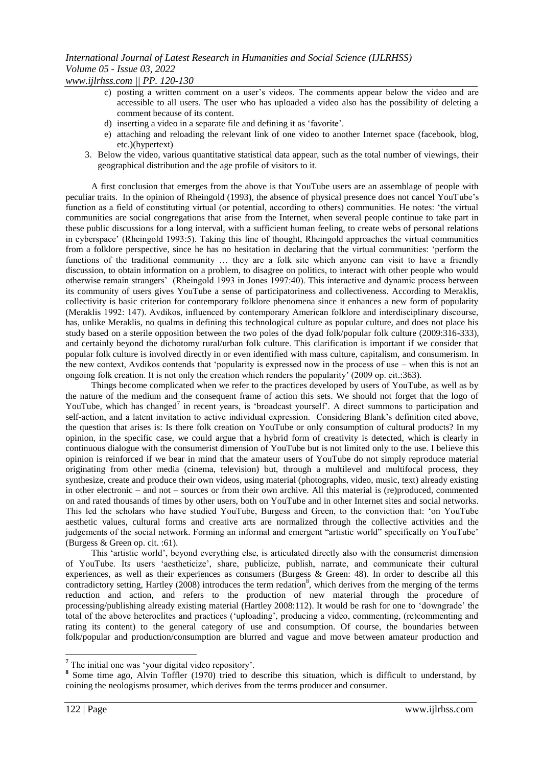*www.ijlrhss.com || PP. 120-130*

- c) posting a written comment on a user's videos. The comments appear below the video and are accessible to all users. The user who has uploaded a video also has the possibility of deleting a comment because of its content.
- d) inserting a video in a separate file and defining it as 'favorite'.
- e) attaching and reloading the relevant link of one video to another Internet space (facebook, blog, etc.)(hypertext)
- 3. Below the video, various quantitative statistical data appear, such as the total number of viewings, their geographical distribution and the age profile of visitors to it.

A first conclusion that emerges from the above is that YouTube users are an assemblage of people with peculiar traits. In the opinion of Rheingold (1993), the absence of physical presence does not cancel YouTube's function as a field of constituting virtual (or potential, according to others) communities. He notes: 'the virtual communities are social congregations that arise from the Internet, when several people continue to take part in these public discussions for a long interval, with a sufficient human feeling, to create webs of personal relations in cyberspace' (Rheingold 1993:5). Taking this line of thought, Rheingold approaches the virtual communities from a folklore perspective, since he has no hesitation in declaring that the virtual communities: 'perform the functions of the traditional community … they are a folk site which anyone can visit to have a friendly discussion, to obtain information on a problem, to disagree on politics, to interact with other people who would otherwise remain strangers' (Rheingold 1993 in Jones 1997:40). This interactive and dynamic process between its community of users gives YouTube a sense of participatoriness and collectiveness. According to Meraklis, collectivity is basic criterion for contemporary folklore phenomena since it enhances a new form of popularity (Μeraklis 1992: 147). Avdikos, influenced by contemporary American folklore and interdisciplinary discourse, has, unlike Meraklis, no qualms in defining this technological culture as popular culture, and does not place his study based on a sterile opposition between the two poles of the dyad folk/popular folk culture (2009:316-333), and certainly beyond the dichotomy rural/urban folk culture. This clarification is important if we consider that popular folk culture is involved directly in or even identified with mass culture, capitalism, and consumerism. In the new context, Avdikos contends that 'popularity is expressed now in the process of use – when this is not an ongoing folk creation. It is not only the creation which renders the popularity' (2009 op. cit.:363).

Things become complicated when we refer to the practices developed by users of YouTube, as well as by the nature of the medium and the consequent frame of action this sets. We should not forget that the logo of YouTube, which has changed<sup>7</sup> in recent years, is 'broadcast yourself'. A direct summons to participation and self-action, and a latent invitation to active individual expression. Considering Blank's definition cited above, the question that arises is: Is there folk creation on YouTube or only consumption of cultural products? In my opinion, in the specific case, we could argue that a hybrid form of creativity is detected, which is clearly in continuous dialogue with the consumerist dimension of YouTube but is not limited only to the use. I believe this opinion is reinforced if we bear in mind that the amateur users of YouTube do not simply reproduce material originating from other media (cinema, television) but, through a multilevel and multifocal process, they synthesize, create and produce their own videos, using material (photographs, video, music, text) already existing in other electronic – and not – sources or from their own archive. All this material is (re)produced, commented on and rated thousands of times by other users, both on YouTube and in other Internet sites and social networks. This led the scholars who have studied YouTube, Burgess and Green, to the conviction that: 'on YouTube aesthetic values, cultural forms and creative arts are normalized through the collective activities and the judgements of the social network. Forming an informal and emergent "artistic world" specifically on YouTube' (Burgess & Green op. cit. :61).

This 'artistic world', beyond everything else, is articulated directly also with the consumerist dimension of YouTube. Its users ‗aestheticize', share, publicize, publish, narrate, and communicate their cultural experiences, as well as their experiences as consumers (Burgess & Green: 48). In order to describe all this contradictory setting, Hartley (2008) introduces the term redation<sup>8</sup>, which derives from the merging of the terms reduction and action, and refers to the production of new material through the procedure of processing/publishing already existing material (Hartley 2008:112). It would be rash for one to ‗downgrade' the total of the above heteroclites and practices (‗uploading', producing a video, commenting, (re)commenting and rating its content) to the general category of use and consumption. Of course, the boundaries between folk/popular and production/consumption are blurred and vague and move between amateur production and

<sup>&</sup>lt;sup>7</sup> The initial one was 'your digital video repository'.

<sup>&</sup>lt;sup>8</sup> Some time ago, [Alvin](http://en.wikipedia.org/wiki/Alvin_Toffler) [Toffler](http://en.wikipedia.org/wiki/Alvin_Toffler) (1970) tried to describe this situation, which is difficult to understand, by coining the neologisms prosumer, which derives from the terms producer and consumer.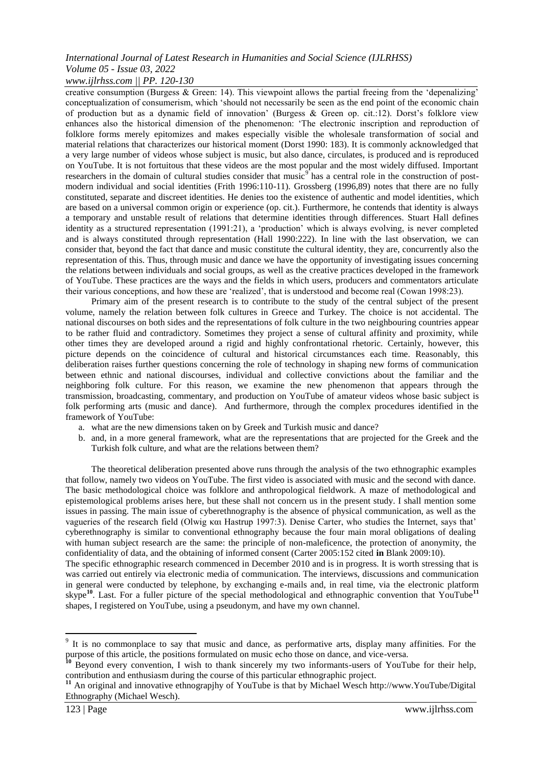### *www.ijlrhss.com || PP. 120-130*

creative consumption (Burgess & Green: 14). This viewpoint allows the partial freeing from the 'depenalizing' conceptualization of consumerism, which 'should not necessarily be seen as the end point of the economic chain of production but as a dynamic field of innovation' (Burgess & Green op. cit.:12). Dorst's folklore view enhances also the historical dimension of the phenomenon: 'The electronic inscription and reproduction of folklore forms merely epitomizes and makes especially visible the wholesale transformation of social and material relations that characterizes our historical moment (Dorst 1990: 183). It is commonly acknowledged that a very large number of videos whose subject is music, but also dance, circulates, is produced and is reproduced on YouTube. It is not fortuitous that these videos are the most popular and the most widely diffused. Important researchers in the domain of cultural studies consider that music<sup>9</sup> has a central role in the construction of postmodern individual and social identities (Frith 1996:110-11). Grossberg (1996,89) notes that there are no fully constituted, separate and discreet identities. He denies too the existence of authentic and model identities, which are based on a universal common origin or experience (op. cit.). Furthermore, he contends that identity is always a temporary and unstable result of relations that determine identities through differences. Stuart Hall defines identity as a structured representation  $(1991:21)$ , a 'production' which is always evolving, is never completed and is always constituted through representation (Hall 1990:222). In line with the last observation, we can consider that, beyond the fact that dance and music constitute the cultural identity, they are, concurrently also the representation of this. Thus, through music and dance we have the opportunity of investigating issues concerning the relations between individuals and social groups, as well as the creative practices developed in the framework of YouTube. These practices are the ways and the fields in which users, producers and commentators articulate their various conceptions, and how these are 'realized', that is understood and become real (Cowan 1998:23).

Primary aim of the present research is to contribute to the study of the central subject of the present volume, namely the relation between folk cultures in Greece and Turkey. The choice is not accidental. The national discourses on both sides and the representations of folk culture in the two neighbouring countries appear to be rather fluid and contradictory. Sometimes they project a sense of cultural affinity and proximity, while other times they are developed around a rigid and highly confrontational rhetoric. Certainly, however, this picture depends on the coincidence of cultural and historical circumstances each time. Reasonably, this deliberation raises further questions concerning the role of technology in shaping new forms of communication between ethnic and national discourses, individual and collective convictions about the familiar and the neighboring folk culture. For this reason, we examine the new phenomenon that appears through the transmission, broadcasting, commentary, and production on YouTube of amateur videos whose basic subject is folk performing arts (music and dance). And furthermore, through the complex procedures identified in the framework of YouTube:

- a. what are the new dimensions taken on by Greek and Turkish music and dance?
- b. and, in a more general framework, what are the representations that are projected for the Greek and the Turkish folk culture, and what are the relations between them?

The theoretical deliberation presented above runs through the analysis of the two ethnographic examples that follow, namely two videos on YouTube. The first video is associated with music and the second with dance. The basic methodological choice was folklore and anthropological fieldwork. A maze of methodological and epistemological problems arises here, but these shall not concern us in the present study. I shall mention some issues in passing. The main issue of cyberethnography is the absence of physical communication, as well as the vagueries of the research field (Olwig και Hastrup 1997:3). Denise Carter, who studies the Internet, says that' cyberethnography is similar to conventional ethnography because the four main moral obligations of dealing with human subject research are the same: the principle of non-maleficence, the protection of anonymity, the confidentiality of data, and the obtaining of informed consent (Carter 2005:152 cited **in** Blank 2009:10).

The specific ethnographic research commenced in December 2010 and is in progress. It is worth stressing that is was carried out entirely via electronic media of communication. The interviews, discussions and communication in general were conducted by telephone, by exchanging e-mails and, in real time, via the electronic platform skype**<sup>10</sup>**. Last. For a fuller picture of the special methodological and ethnographic convention that YouTube**<sup>11</sup>** shapes, I registered on YouTube, using a pseudonym, and have my own channel.

1

<sup>&</sup>lt;sup>9</sup> It is no commonplace to say that music and dance, as performative arts, display many affinities. For the purpose of this article, the positions formulated on music echo those on dance, and vice-versa.

<sup>&</sup>lt;sup>10</sup> Beyond every convention, I wish to thank sincerely my two informants-users of YouTube for their help, contribution and enthusiasm during the course of this particular ethnographic project.

<sup>&</sup>lt;sup>11</sup> An original and innovative ethnograpjhy of YouTube is that by Michael Wesch http://www.YouTube/Digital Ethnography (Michael Wesch).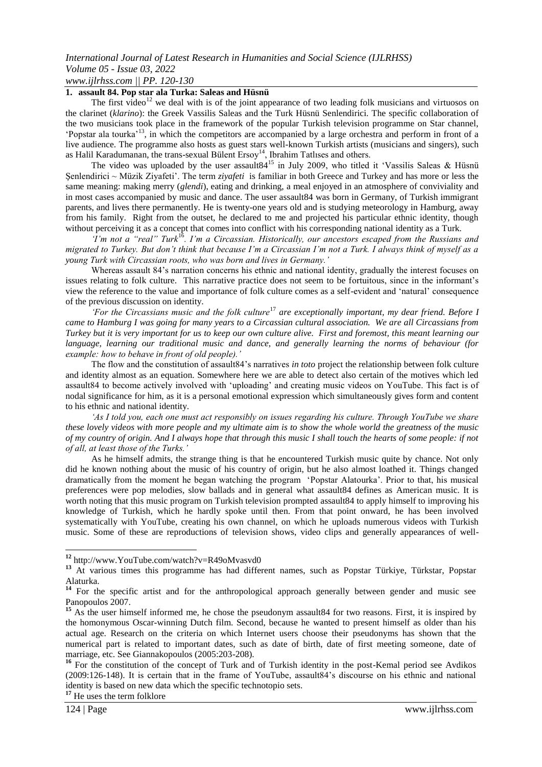### *www.ijlrhss.com || PP. 120-130*

### **1. assault 84. Pop star ala Turka: Saleas and Hüsnü**

The first video<sup>12</sup> we deal with is of the joint appearance of two leading folk musicians and virtuosos on the clarinet (*klarino*): the Greek Vassilis Saleas and the Turk Hüsnü Senlendirici. The specific collaboration of the two musicians took place in the framework of the popular Turkish television programme on Star channel, ‗Popstar ala tourka'<sup>13</sup>, in which the competitors are accompanied by a large orchestra and perform in front of a live audience. The programme also hosts as guest stars well-known Turkish artists (musicians and singers), such as Halil Karadumanan, the trans-sexual Bülent Ersoy<sup>14</sup>, Ibrahim Tatlises and others.

The video was uploaded by the user assault 84<sup>15</sup> in July 2009, who titled it 'Vassilis Saleas & Hüsnü Şenlendirici ~ Müzik Ziyafeti'. The term *ziyafeti* is familiar in both Greece and Turkey and has more or less the same meaning: making merry (*glendi*), eating and drinking, a meal enjoyed in an atmosphere of conviviality and in most cases accompanied by music and dance. The user assault84 was born in Germany, of Turkish immigrant parents, and lives there permanently. He is twenty-one years old and is studying meteorology in Hamburg, away from his family. Right from the outset, he declared to me and projected his particular ethnic identity, though without perceiving it as a concept that comes into conflict with his corresponding national identity as a Turk.

*"I"m not a "real" Turk*<sup>16</sup>*. I"m a Circassian. Historically, our ancestors escaped from the Russians and migrated to Turkey. But don"t think that because I"m a Circassian I"m not a Turk. I always think of myself as a young Turk with Circassian roots, who was born and lives in Germany."* 

Whereas assault 84's narration concerns his ethnic and national identity, gradually the interest focuses on issues relating to folk culture. This narrative practice does not seem to be fortuitous, since in the informant's view the reference to the value and importance of folk culture comes as a self-evident and ‗natural' consequence of the previous discussion on identity.

*"For the Circassians music and the folk culture*<sup>17</sup> *are exceptionally important, my dear friend. Before I came to Hamburg I was going for many years to a Circassian cultural association. We are all Circassians from Turkey but it is very important for us to keep our own culture alive. First and foremost, this meant learning our language, learning our traditional music and dance, and generally learning the norms of behaviour (for example: how to behave in front of old people)."*

The flow and the constitution of assault84's narratives *in toto* project the relationship between folk culture and identity almost as an equation. Somewhere here we are able to detect also certain of the motives which led assault84 to become actively involved with 'uploading' and creating music videos on YouTube. This fact is of nodal significance for him, as it is a personal emotional expression which simultaneously gives form and content to his ethnic and national identity.

*"As I told you, each one must act responsibly on issues regarding his culture. Through YouTube we share these lovely videos with more people and my ultimate aim is to show the whole world the greatness of the music of my country of origin. And I always hope that through this music I shall touch the hearts of some people: if not of all, at least those of the Turks."*

As he himself admits, the strange thing is that he encountered Turkish music quite by chance. Not only did he known nothing about the music of his country of origin, but he also almost loathed it. Things changed dramatically from the moment he began watching the program 'Popstar Alatourka'. Prior to that, his musical preferences were pop melodies, slow ballads and in general what assault84 defines as American music. It is worth noting that this music program on Turkish television prompted assault84 to apply himself to improving his knowledge of Turkish, which he hardly spoke until then. From that point onward, he has been involved systematically with YouTube, creating his own channel, on which he uploads numerous videos with Turkish music. Some of these are reproductions of television shows, video clips and generally appearances of well-

**<sup>17</sup>** He uses the term folklore

**<sup>12</sup>** http://www.YouTube.com/watch?v=R49oMvasvd0

**<sup>13</sup>** At various times this programme has had different names, such as Popstar Türkiye, Türkstar, Popstar Alaturka.

<sup>&</sup>lt;sup>14</sup> For the specific artist and for the anthropological approach generally between gender and music see Panopoulos 2007.

<sup>&</sup>lt;sup>15</sup> As the user himself informed me, he chose the pseudonym assault 84 for two reasons. First, it is inspired by the homonymous Oscar-winning Dutch film. Second, because he wanted to present himself as older than his actual age. Research on the criteria on which Internet users choose their pseudonyms has shown that the numerical part is related to important dates, such as date of birth, date of first meeting someone, date of marriage, etc. See Giannakopoulos (2005:203-208).

<sup>&</sup>lt;sup>16</sup> For the constitution of the concept of Turk and of Turkish identity in the post-Kemal period see Avdikos (2009:126-148). It is certain that in the frame of YouTube, assault84's discourse on his ethnic and national identity is based on new data which the specific technotopio sets.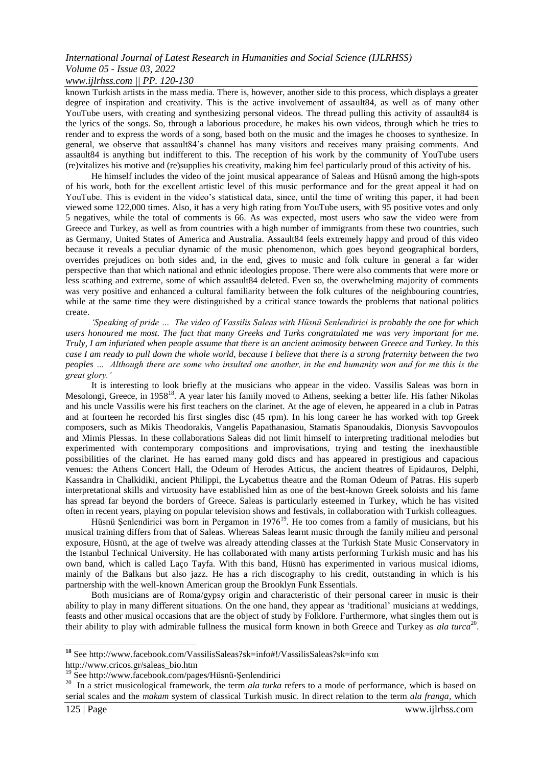#### *www.ijlrhss.com || PP. 120-130*

known Turkish artists in the mass media. There is, however, another side to this process, which displays a greater degree of inspiration and creativity. This is the active involvement of assault84, as well as of many other YouTube users, with creating and synthesizing personal videos. The thread pulling this activity of assault84 is the lyrics of the songs. So, through a laborious procedure, he makes his own videos, through which he tries to render and to express the words of a song, based both on the music and the images he chooses to synthesize. In general, we observe that assault84's channel has many visitors and receives many praising comments. And assault84 is anything but indifferent to this. The reception of his work by the community of YouTube users (re)vitalizes his motive and (re)supplies his creativity, making him feel particularly proud of this activity of his.

He himself includes the video of the joint musical appearance of Saleas and Hüsnü among the high-spots of his work, both for the excellent artistic level of this music performance and for the great appeal it had on YouTube. This is evident in the video's statistical data, since, until the time of writing this paper, it had been viewed some 122,000 times. Also, it has a very high rating from YouTube users, with 95 positive votes and only 5 negatives, while the total of comments is 66. As was expected, most users who saw the video were from Greece and Turkey, as well as from countries with a high number of immigrants from these two countries, such as Germany, United States of America and Australia. Assault84 feels extremely happy and proud of this video because it reveals a peculiar dynamic of the music phenomenon, which goes beyond geographical borders, overrides prejudices on both sides and, in the end, gives to music and folk culture in general a far wider perspective than that which national and ethnic ideologies propose. There were also comments that were more or less scathing and extreme, some of which assault84 deleted. Even so, the overwhelming majority of comments was very positive and enhanced a cultural familiarity between the folk cultures of the neighbouring countries, while at the same time they were distinguished by a critical stance towards the problems that national politics create.

*"Speaking of pride … The video of Vassilis Saleas with Hüsnü Senlendirici is probably the one for which users honoured me most. The fact that many Greeks and Turks congratulated me was very important for me. Truly, I am infuriated when people assume that there is an ancient animosity between Greece and Turkey. In this case I am ready to pull down the whole world, because I believe that there is a strong fraternity between the two peoples … Although there are some who insulted one another, in the end humanity won and for me this is the great glory."* 

It is interesting to look briefly at the musicians who appear in the video. Vassilis Saleas was born in Mesolongi, Greece, in 1958<sup>18</sup>. A year later his family moved to Athens, seeking a better life. His father Nikolas and his uncle Vassilis were his first teachers on the clarinet. At the age of eleven, he appeared in a club in Patras and at fourteen he recorded his first singles disc (45 rpm). In his long career he has worked with top Greek composers, such as Mikis Theodorakis, Vangelis Papathanasiou, Stamatis Spanoudakis, Dionysis Savvopoulos and Mimis Plessas. In these collaborations Saleas did not limit himself to interpreting traditional melodies but experimented with contemporary compositions and improvisations, trying and testing the inexhaustible possibilities of the clarinet. He has earned many gold discs and has appeared in prestigious and capacious venues: the Athens Concert Hall, the Odeum of Herodes Atticus, the ancient theatres of Epidauros, Delphi, Kassandra in Chalkidiki, ancient Philippi, the Lycabettus theatre and the Roman Odeum of Patras. His superb interpretational skills and virtuosity have established him as one of the best-known Greek soloists and his fame has spread far beyond the borders of Greece. Saleas is particularly esteemed in Turkey, which he has visited often in recent years, playing on popular television shows and festivals, in collaboration with Turkish colleagues.

Hüsnü Şenlendirici was born in Pergamon in 1976<sup>19</sup>. He too comes from a family of musicians, but his musical training differs from that of Saleas. Whereas Saleas learnt music through the family milieu and personal exposure, Hüsnü, at the age of twelve was already attending classes at the [Turkish](http://www.tmdk.itu.edu.tr/) [S](http://www.tmdk.itu.edu.tr/)tat[e](http://www.tmdk.itu.edu.tr/) [M](http://www.tmdk.itu.edu.tr/)usi[c](http://www.tmdk.itu.edu.tr/) [Conservatory](http://www.tmdk.itu.edu.tr/) in the Istanbul Technical University. He has collaborated with many artists performing Turkish music and has his own band, which is called [Laço](http://en.wikipedia.org/wiki/La%C3%A7o_Tayfa) [Tayfa.](http://en.wikipedia.org/wiki/La%C3%A7o_Tayfa) With this band, Hüsnü has experimented in various musical idioms, mainly of the Balkans but also jazz. He has a rich discography to his credit, outstanding in which is his partnership with the well-known American group the [Brooklyn](http://en.wikipedia.org/wiki/Brooklyn_Funk_Essentials) [F](http://en.wikipedia.org/wiki/Brooklyn_Funk_Essentials)un[k](http://en.wikipedia.org/wiki/Brooklyn_Funk_Essentials) [Essentials.](http://en.wikipedia.org/wiki/Brooklyn_Funk_Essentials)

Both musicians are of Roma/gypsy origin and characteristic of their personal career in music is their ability to play in many different situations. On the one hand, they appear as 'traditional' musicians at weddings, feasts and other musical occasions that are the object of study by Folklore. Furthermore, what singles them out is their ability to play with admirable fullness the musical form known in both Greece and Turkey as *ala turca*<sup>20</sup>.

<sup>&</sup>lt;sup>18</sup> See [http://w](http://www.facebook.com/VassilisSaleas?sk=info#!/VassilisSaleas?sk=info)w[w.f](http://www.facebook.com/VassilisSaleas?sk=info#!/VassilisSaleas?sk=info)aceboo[k.c](http://www.facebook.com/VassilisSaleas?sk=info#!/VassilisSaleas?sk=info)o[m/V](http://www.facebook.com/VassilisSaleas?sk=info#!/VassilisSaleas?sk=info)assilisSalea[s?sk=i](http://www.facebook.com/VassilisSaleas?sk=info#!/VassilisSaleas?sk=info)nf[o#!/V](http://www.facebook.com/VassilisSaleas?sk=info#!/VassilisSaleas?sk=info)assilisSalea[s?sk=info](http://www.facebook.com/VassilisSaleas?sk=info#!/VassilisSaleas?sk=info) και

http://www.cricos.gr/saleas\_bio.htm

<sup>19</sup> See http://www.facebook.com/pages/Hüsnü-Şenlendirici

<sup>&</sup>lt;sup>20</sup> In a strict musicological framework, the term *ala turka* refers to a mode of performance, which is based on serial scales and the *makam* system of classical Turkish music. In direct relation to the term *ala franga*, which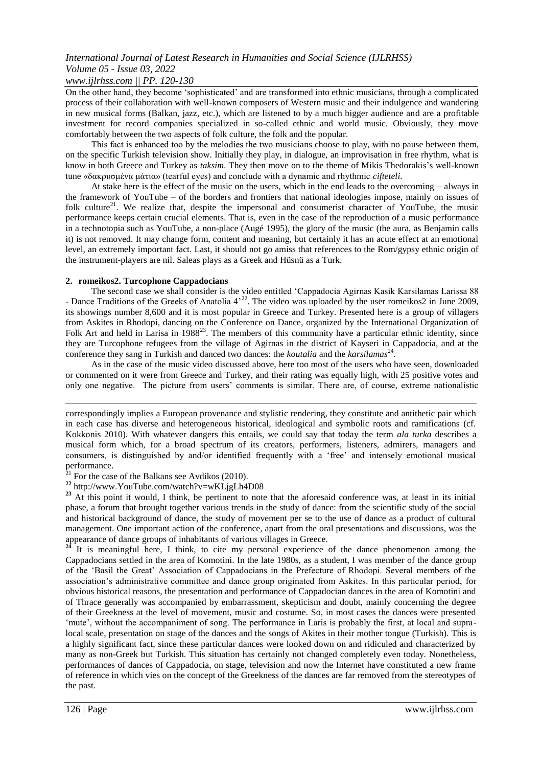#### *www.ijlrhss.com || PP. 120-130*

On the other hand, they become 'sophisticated' and are transformed into ethnic musicians, through a complicated process of their collaboration with well-known composers of Western music and their indulgence and wandering in new musical forms (Balkan, jazz, etc.), which are listened to by a much bigger audience and are a profitable investment for record companies specialized in so-called ethnic and world music. Obviously, they move comfortably between the two aspects of folk culture, the folk and the popular.

Τhis fact is enhanced too by the melodies the two musicians choose to play, with no pause between them, on the specific Turkish television show. Initially they play, in dialogue, an improvisation in free rhythm, what is know in both Greece and Turkey as *taksim*. They then move on to the theme of Mikis Thedorakis's well-known tune «δακρυσμένα μάτια» (tearful eyes) and conclude with a dynamic and rhythmic *cifteteli*.

At stake here is the effect of the music on the users, which in the end leads to the overcoming – always in the framework of YouTube – of the borders and frontiers that national ideologies impose, mainly on issues of folk culture<sup>21</sup>. We realize that, despite the impersonal and consumerist character of YouTube, the music performance keeps certain crucial elements. That is, even in the case of the reproduction of a music performance in a technotopia such as YouTube, a non-place (Augé 1995), the glory of the music (the aura, as Benjamin calls it) is not removed. It may change form, content and meaning, but certainly it has an acute effect at an emotional level, an extremely important fact. Last, it should not go amiss that references to the Rom/gypsy ethnic origin of the instrument-players are nil. Saleas plays as a Greek and Hüsnü as a Turk.

#### **2. romeikos2. Turcophone Cappadocians**

The second case we shall consider is the video entitled 'Cappadocia Agirnas Kasik Karsilamas Larissa 88 - Dance Traditions of the Greeks of Anatolia 4<sup>-22</sup>. The video was uploaded by the user romeikos2 in June 2009, its showings number 8,600 and it is most popular in Greece and Turkey. Presented here is a group of villagers from Askites in Rhodopi, dancing on the Conference on Dance, organized by the International Organization of Folk Art and held in Larisa in 1988<sup>23</sup>. The members of this community have a particular ethnic identity, since they are Turcophone refugees from the village of Agirnas in the district of Kayseri in Cappadocia, and at the conference they sang in Turkish and danced two dances: the *koutalia* and the *karsilamas*<sup>24</sup>.

As in the case of the music video discussed above, here too most of the users who have seen, downloaded or commented on it were from Greece and Turkey, and their rating was equally high, with 25 positive votes and only one negative. The picture from users' comments is similar. There are, of course, extreme nationalistic

correspondingly implies a European provenance and stylistic rendering, they constitute and antithetic pair which in each case has diverse and heterogeneous historical, ideological and symbolic roots and ramifications (cf. Kokkonis 2010). With whatever dangers this entails, we could say that today the term *ala turka* describes a musical form which, for a broad spectrum of its creators, performers, listeners, admirers, managers and consumers, is distinguished by and/or identified frequently with a 'free' and intensely emotional musical performance.

 $21$  For the case of the Balkans see Avdikos (2010).

**<sup>22</sup>** http://www.YouTube.com/watch?v=wKLjgLh4D08

<sup>23</sup> At this point it would, I think, be pertinent to note that the aforesaid conference was, at least in its initial phase, a forum that brought together various trends in the study of dance: from the scientific study of the social and historical background of dance, the study of movement per se to the use of dance as a product of cultural management. One important action of the conference, apart from the oral presentations and discussions, was the appearance of dance groups of inhabitants of various villages in Greece.<br><sup>24</sup> It is meaning field in Text in Text in Text in Text in Text in Text in Text in Text in Text in Text in Text in Text in Text in Text in Text in T

**<sup>24</sup>** It is meaningful here, I think, to cite my personal experience of the dance phenomenon among the Cappadocians settled in the area of Komotini. In the late 1980s, as a student, I was member of the dance group of the 'Basil the Great' Association of Cappadocians in the Prefecture of Rhodopi. Several members of the association's administrative committee and dance group originated from Askites. In this particular period, for obvious historical reasons, the presentation and performance of Cappadocian dances in the area of Komotini and of Thrace generally was accompanied by embarrassment, skepticism and doubt, mainly concerning the degree of their Greekness at the level of movement, music and costume. So, in most cases the dances were presented ‗mute', without the accompaniment of song. The performance in Laris is probably the first, at local and supralocal scale, presentation on stage of the dances and the songs of Akites in their mother tongue (Turkish). This is a highly significant fact, since these particular dances were looked down on and ridiculed and characterized by many as non-Greek but Turkish. This situation has certainly not changed completely even today. Nonetheless, performances of dances of Cappadocia, on stage, television and now the Internet have constituted a new frame of reference in which vies on the concept of the Greekness of the dances are far removed from the stereotypes of the past.

1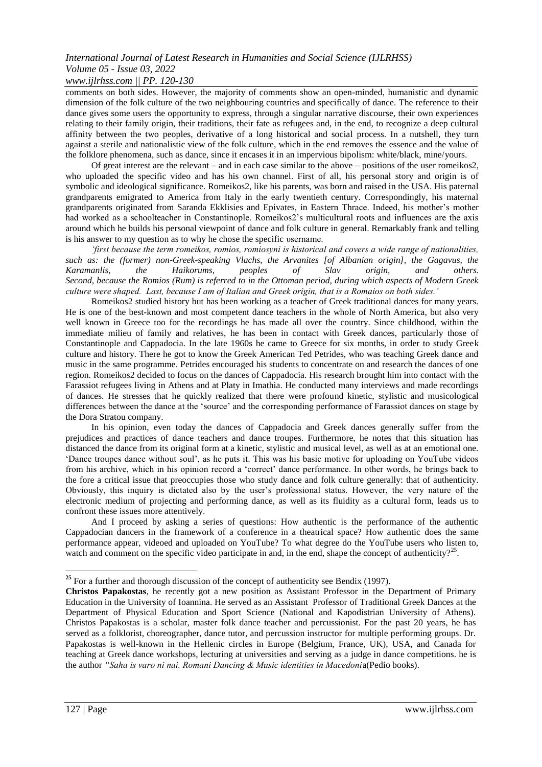### *www.ijlrhss.com || PP. 120-130*

comments on both sides. However, the majority of comments show an open-minded, humanistic and dynamic dimension of the folk culture of the two neighbouring countries and specifically of dance. The reference to their dance gives some users the opportunity to express, through a singular narrative discourse, their own experiences relating to their family origin, their traditions, their fate as refugees and, in the end, to recognize a deep cultural affinity between the two peoples, derivative of a long historical and social process. In a nutshell, they turn against a sterile and nationalistic view of the folk culture, which in the end removes the essence and the value of the folklore phenomena, such as dance, since it encases it in an impervious bipolism: white/black, mine/yours.

Of great interest are the relevant – and in each case similar to the above – positions of the user romeikos2, who uploaded the specific video and has his own channel. First of all, his personal story and origin is of symbolic and ideological significance. Romeikos2, like his parents, was born and raised in the USA. His paternal grandparents emigrated to America from Italy in the early twentieth century. Correspondingly, his maternal grandparents originated from Saranda Ekklisies and Epivates, in Eastern Thrace. Indeed, his mother's mother had worked as a schoolteacher in Constantinople. Romeikos2's multicultural roots and influences are the axis around which he builds his personal viewpoint of dance and folk culture in general. Remarkably frank and telling is his answer to my question as to why he chose the specific σsername.

*"first because the term romeikos, romios, romiosyni is historical and covers a wide range of nationalities, such as: the (former) non-Greek-speaking Vlachs, the Arvanites [of Albanian origin], the Gagavus, the Karamanlis, the Haikorums, peoples of Slav origin, and others. Second, because the Romios (Rum) is referred to in the Ottoman period, during which aspects of Modern Greek culture were shaped. Last, because I am of Italian and Greek origin, that is a Romaios on both sides."*

Romeikos2 studied history but has been working as a teacher of Greek traditional dances for many years. He is one of the best-known and most competent dance teachers in the whole of North America, but also very well known in Greece too for the recordings he has made all over the country. Since childhood, within the immediate milieu of family and relatives, he has been in contact with Greek dances, particularly those of Constantinople and Cappadocia. In the late 1960s he came to Greece for six months, in order to study Greek culture and history. There he got to know the Greek American Ted Petrides, who was teaching Greek dance and music in the same programme. Petrides encouraged his students to concentrate on and research the dances of one region. Romeikos2 decided to focus on the dances of Cappadocia. His research brought him into contact with the Farassiot refugees living in Athens and at Platy in Imathia. He conducted many interviews and made recordings of dances. He stresses that he quickly realized that there were profound kinetic, stylistic and musicological differences between the dance at the 'source' and the corresponding performance of Farassiot dances on stage by the Dora Stratou company.

In his opinion, even today the dances of Cappadocia and Greek dances generally suffer from the prejudices and practices of dance teachers and dance troupes. Furthermore, he notes that this situation has distanced the dance from its original form at a kinetic, stylistic and musical level, as well as at an emotional one. ‗Dance troupes dance without soul', as he puts it. This was his basic motive for uploading on YouTube videos from his archive, which in his opinion record a 'correct' dance performance. In other words, he brings back to the fore a critical issue that preoccupies those who study dance and folk culture generally: that of authenticity. Obviously, this inquiry is dictated also by the user's professional status. However, the very nature of the electronic medium of projecting and performing dance, as well as its fluidity as a cultural form, leads us to confront these issues more attentively.

And I proceed by asking a series of questions: How authentic is the performance of the authentic Cappadocian dancers in the framework of a conference in a theatrical space? How authentic does the same performance appear, videoed and uploaded on YouTube? To what degree do the YouTube users who listen to, watch and comment on the specific video participate in and, in the end, shape the concept of authenticity?<sup>25</sup>.

1

<sup>&</sup>lt;sup>25</sup> For a further and thorough discussion of the concept of authenticity see Bendix (1997).

**Christos Papakostas**, he recently got a new position as Assistant Professor in the Department of Primary Education in the University of Ioannina. He served as an Assistant Professor of Traditional Greek Dances at the Department of Physical Education and Sport Science (National and Kapodistrian University of Athens). Christos Papakostas is a scholar, master folk dance teacher and percussionist. For the past 20 years, he has served as a folklorist, choreographer, dance tutor, and percussion instructor for multiple performing groups. Dr. Papakostas is well-known in the Hellenic circles in Europe (Belgium, France, UK), USA, and Canada for teaching at Greek dance workshops, lecturing at universities and serving as a judge in dance competitions. he is the author *"Saha is varo ni nai. Romani Dancing & Music identities in Macedoni*a(Pedio books).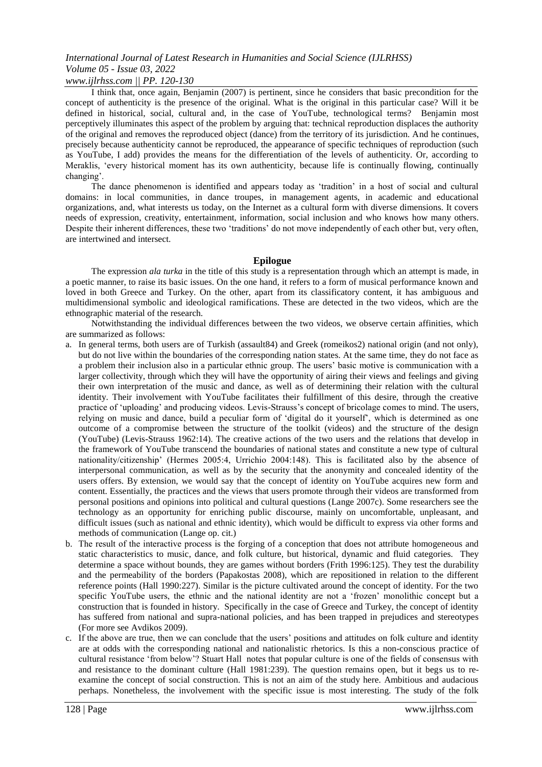#### *www.ijlrhss.com || PP. 120-130*

I think that, once again, Benjamin (2007) is pertinent, since he considers that basic precondition for the concept of authenticity is the presence of the original. What is the original in this particular case? Will it be defined in historical, social, cultural and, in the case of YouTube, technological terms? Benjamin most perceptively illuminates this aspect of the problem by arguing that: technical reproduction displaces the authority of the original and removes the reproduced object (dance) from the territory of its jurisdiction. And he continues, precisely because authenticity cannot be reproduced, the appearance of specific techniques of reproduction (such as YouTube, I add) provides the means for the differentiation of the levels of authenticity. Or, according to Meraklis, ‗every historical moment has its own authenticity, because life is continually flowing, continually changing'.

The dance phenomenon is identified and appears today as 'tradition' in a host of social and cultural domains: in local communities, in dance troupes, in management agents, in academic and educational organizations, and, what interests us today, on the Internet as a cultural form with diverse dimensions. It covers needs of expression, creativity, entertainment, information, social inclusion and who knows how many others. Despite their inherent differences, these two 'traditions' do not move independently of each other but, very often, are intertwined and intersect.

#### **Epilogue**

The expression *ala turka* in the title of this study is a representation through which an attempt is made, in a poetic manner, to raise its basic issues. On the one hand, it refers to a form of musical performance known and loved in both Greece and Turkey. On the other, apart from its classificatory content, it has ambiguous and multidimensional symbolic and ideological ramifications. These are detected in the two videos, which are the ethnographic material of the research.

Notwithstanding the individual differences between the two videos, we observe certain affinities, which are summarized as follows:

- a. In general terms, both users are of Turkish (assault84) and Greek (romeikos2) national origin (and not only), but do not live within the boundaries of the corresponding nation states. At the same time, they do not face as a problem their inclusion also in a particular ethnic group. The users' basic motive is communication with a larger collectivity, through which they will have the opportunity of airing their views and feelings and giving their own interpretation of the music and dance, as well as of determining their relation with the cultural identity. Their involvement with YouTube facilitates their fulfillment of this desire, through the creative practice of ‗uploading' and producing videos. Levis-Strauss's concept of bricolage comes to mind. The users, relying on music and dance, build a peculiar form of 'digital do it yourself', which is determined as one outcome of a compromise between the structure of the toolkit (videos) and the structure of the design (YouTube) (Levis-Strauss 1962:14). The creative actions of the two users and the relations that develop in the framework of YouTube transcend the boundaries of national states and constitute a new type of cultural nationality/citizenship' (Hermes 2005:4, Urrichio 2004:148). This is facilitated also by the absence of interpersonal communication, as well as by the security that the anonymity and concealed identity of the users offers. By extension, we would say that the concept of identity on YouTube acquires new form and content. Essentially, the practices and the views that users promote through their videos are transformed from personal positions and opinions into political and cultural questions (Lange 2007c). Some researchers see the technology as an opportunity for enriching public discourse, mainly on uncomfortable, unpleasant, and difficult issues (such as national and ethnic identity), which would be difficult to express via other forms and methods of communication (Lange op. cit.)
- b. The result of the interactive process is the forging of a conception that does not attribute homogeneous and static characteristics to music, dance, and folk culture, but historical, dynamic and fluid categories. They determine a space without bounds, they are games without borders (Frith 1996:125). They test the durability and the permeability of the borders (Papakostas 2008), which are repositioned in relation to the different reference points (Hall 1990:227). Similar is the picture cultivated around the concept of identity. For the two specific YouTube users, the ethnic and the national identity are not a 'frozen' monolithic concept but a construction that is founded in history. Specifically in the case of Greece and Turkey, the concept of identity has suffered from national and supra-national policies, and has been trapped in prejudices and stereotypes (For more see Avdikos 2009).
- c. If the above are true, then we can conclude that the users' positions and attitudes on folk culture and identity are at odds with the corresponding national and nationalistic rhetorics. Is this a non-conscious practice of cultural resistance ‗from below'? Stuart Hall notes that popular culture is one of the fields of consensus with and resistance to the dominant culture (Hall 1981:239). The question remains open, but it begs us to reexamine the concept of social construction. This is not an aim of the study here. Ambitious and audacious perhaps. Nonetheless, the involvement with the specific issue is most interesting. The study of the folk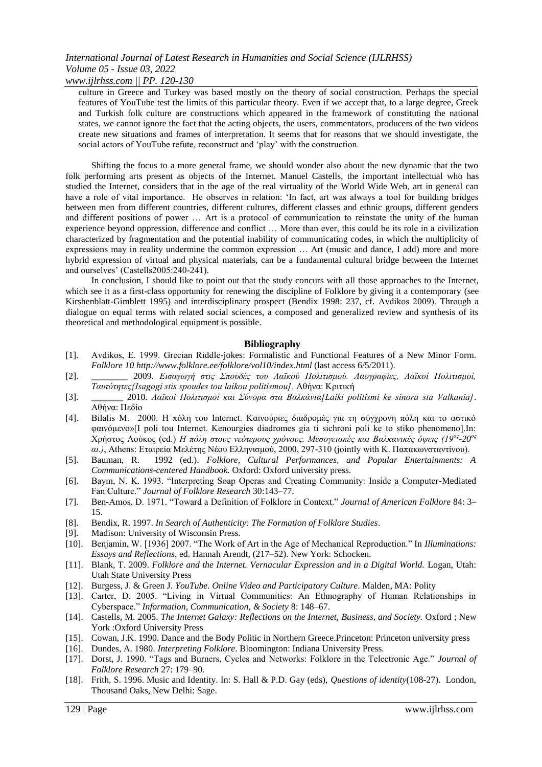*www.ijlrhss.com || PP. 120-130*

culture in Greece and Turkey was based mostly on the theory of social construction. Perhaps the special features of YouTube test the limits of this particular theory. Even if we accept that, to a large degree, Greek and Turkish folk culture are constructions which appeared in the framework of constituting the national states, we cannot ignore the fact that the acting objects, the users, commentators, producers of the two videos create new situations and frames of interpretation. It seems that for reasons that we should investigate, the social actors of YouTube refute, reconstruct and 'play' with the construction.

Shifting the focus to a more general frame, we should wonder also about the new dynamic that the two folk performing arts present as objects of the Internet. Manuel Castells, the important intellectual who has studied the Internet, considers that in the age of the real virtuality of the World Wide Web, art in general can have a role of vital importance. He observes in relation: 'In fact, art was always a tool for building bridges between men from different countries, different cultures, different classes and ethnic groups, different genders and different positions of power … Art is a protocol of communication to reinstate the unity of the human experience beyond oppression, difference and conflict … More than ever, this could be its role in a civilization characterized by fragmentation and the potential inability of communicating codes, in which the multiplicity of expressions may in reality undermine the common expression … Art (music and dance, I add) more and more hybrid expression of virtual and physical materials, can be a fundamental cultural bridge between the Internet and ourselves' (Castells2005:240-241).

In conclusion, I should like to point out that the study concurs with all those approaches to the Internet, which see it as a first-class opportunity for renewing the discipline of Folklore by giving it a contemporary (see Kirshenblatt-Gimblett 1995) and interdisciplinary prospect (Bendix 1998: 237, cf. Avdikos 2009). Through a dialogue on equal terms with related social sciences, a composed and generalized review and synthesis of its theoretical and methodological equipment is possible.

#### **Bibliography**

- [1]. Avdikos, Ε. 1999. Grecian Riddle-jokes: Formalistic and Functional Features of a [New](http://www.folklore.ee/folklore/vol10/minorf.htm) [M](http://www.folklore.ee/folklore/vol10/minorf.htm)ino[r](http://www.folklore.ee/folklore/vol10/minorf.htm) [Form.](http://www.folklore.ee/folklore/vol10/minorf.htm) *Folklore 10 [http://w](http://www.folklore.ee/folklore/vol10/index.html)w[w.f](http://www.folklore.ee/folklore/vol10/index.html)olklor[e.ee/f](http://www.folklore.ee/folklore/vol10/index.html)olklor[e/v](http://www.folklore.ee/folklore/vol10/index.html)o[l10/i](http://www.folklore.ee/folklore/vol10/index.html)nde[x.html](http://www.folklore.ee/folklore/vol10/index.html)* (last access 6/5/2011).
- [2]. \_\_\_\_\_\_\_\_ 2009. *Ειζαγφγή ζηις Σποσδές ηοσ Λαχκού Πολιηιζμού. Λαογραθίες, Λαχκοί Πολιηιζμοί, Ταυτότητες{Isagogi stis spoudes tou laikou politismou].* Αθήνα: Κριτική
- [3]. \_\_\_\_\_\_\_ 2010. *Λαχκοί Πολιηιζμοί και Σύνορα ζηα Βαλκάνια[Laiki politismi ke sinora sta Valkania]*. Αθήνα: Πεδίο
- [4]. Bilalis M. 2000. Η πόλη του Internet. Καινούριες διαδρομές για τη σύγχρονη πόλη και το αστικό θαηλόκελο»[I poli tou Internet. Kenourgies diadromes gia ti sichroni poli ke to stiko phenomeno].In: Χρήστος Λούκος (ed.) *Η πόλη στους νεότερους χρόνους. Μεσογειακές και Βαλκανικές όψεις (19<sup>ος</sup>-20<sup>ος</sup> αι.*), Athens: Εταιρεία Μελέτης Νέου Ελληνισμού, 2000, 297-310 (jointly with Κ. Παπακωνσταντίνου).
- [5]. Bauman, R. 1992 (ed.). *Folklore, Cultural Performances, and Popular Entertainments: A Communications-centered Handbook.* Oxford: Oxford university press.
- [6]. Baym, N. K. 1993. "Interpreting Soap Operas and Creating Community: Inside a Computer-Mediated Fan Culture.‖ *Journal of Folklore Research* 30:143–77.
- [7]. Ben-Amos, D. 1971. "Toward a Definition of Folklore in Context." Journal of American Folklore 84: 3-15.
- [8]. Bendix, R. 1997. *In Search of Authenticity: The Formation of Folklore Studies*.
- [9]. Madison: University of Wisconsin Press.
- [10]. Benjamin, W. [1936] 2007. "The Work of Art in the Age of Mechanical Reproduction." In *Illuminations: Essays and Reflections*, ed. Hannah Arendt, (217–52). New York: Schocken.
- [11]. Blank, T. 2009. *Folklore and the Internet. Vernacular Expression and in a Digital World.* Logan, Utah: Utah State University Press
- [12]. Burgess, J. & Green J. *YouTube. Online Video and Participatory Culture*. Malden, MA: Polity
- [13]. Carter, D. 2005. "Living in Virtual Communities: An Ethnography of Human Relationships in Cyberspace.‖ *Information, Communication, & Society* 8: 148–67.
- [14]. Castells, M. 2005. *The Internet Galaxy: Reflections on the Internet, Business, and Society.* Oxford ; New York :Oxford University Press
- [15]. Cowan, J.K. 1990. Dance and the Body Politic in Northern Greece.Princeton: Princeton university press
- [16]. Dundes, A. 1980. *Interpreting Folklore*. Bloomington: Indiana University Press.
- [17]. Dorst, J. 1990. "Tags and Burners, Cycles and Networks: Folklore in the Telectronic Age." *Journal of Folklore Research* 27: 179–90.
- [18]. Frith, S. 1996. Music and Identity. In: S. Hall & P.D. Gay (eds), *Questions of identity*(108-27). London, Thousand Oaks, New Delhi: Sage.